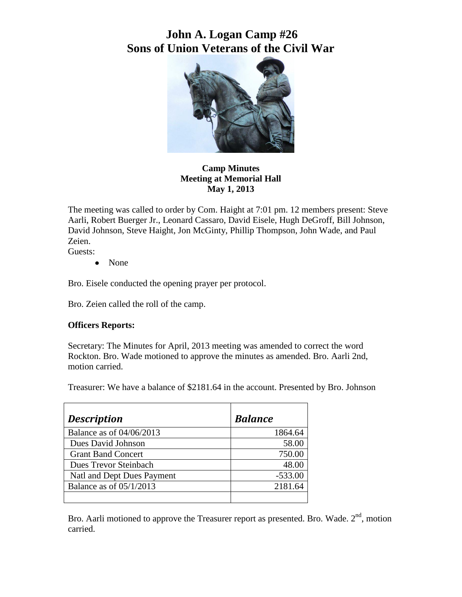# **John A. Logan Camp #26 Sons of Union Veterans of the Civil War**



**Camp Minutes Meeting at Memorial Hall May 1, 2013**

The meeting was called to order by Com. Haight at 7:01 pm. 12 members present: Steve Aarli, Robert Buerger Jr., Leonard Cassaro, David Eisele, Hugh DeGroff, Bill Johnson, David Johnson, Steve Haight, Jon McGinty, Phillip Thompson, John Wade, and Paul Zeien.

Guests:

• None

Bro. Eisele conducted the opening prayer per protocol.

Bro. Zeien called the roll of the camp.

#### **Officers Reports:**

Secretary: The Minutes for April, 2013 meeting was amended to correct the word Rockton. Bro. Wade motioned to approve the minutes as amended. Bro. Aarli 2nd, motion carried.

Treasurer: We have a balance of \$2181.64 in the account. Presented by Bro. Johnson

| <b>Description</b>         | <b>Balance</b> |
|----------------------------|----------------|
| Balance as of 04/06/2013   | 1864.64        |
| Dues David Johnson         | 58.00          |
| <b>Grant Band Concert</b>  | 750.00         |
| Dues Trevor Steinbach      | 48.00          |
| Natl and Dept Dues Payment | $-533.00$      |
| Balance as of $05/1/2013$  | 2181.64        |
|                            |                |

Bro. Aarli motioned to approve the Treasurer report as presented. Bro. Wade.  $2<sup>nd</sup>$ , motion carried.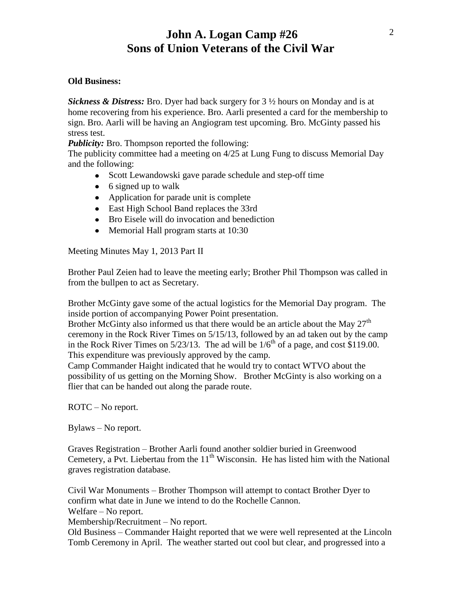## **John A. Logan Camp #26 Sons of Union Veterans of the Civil War**

#### **Old Business:**

*Sickness & Distress:* Bro. Dyer had back surgery for 3 ½ hours on Monday and is at home recovering from his experience. Bro. Aarli presented a card for the membership to sign. Bro. Aarli will be having an Angiogram test upcoming. Bro. McGinty passed his stress test.

*Publicity:* Bro. Thompson reported the following:

The publicity committee had a meeting on 4/25 at Lung Fung to discuss Memorial Day and the following:

- Scott Lewandowski gave parade schedule and step-off time
- $\bullet$  6 signed up to walk
- Application for parade unit is complete
- East High School Band replaces the 33rd
- Bro Eisele will do invocation and benediction
- Memorial Hall program starts at 10:30

Meeting Minutes May 1, 2013 Part II

Brother Paul Zeien had to leave the meeting early; Brother Phil Thompson was called in from the bullpen to act as Secretary.

Brother McGinty gave some of the actual logistics for the Memorial Day program. The inside portion of accompanying Power Point presentation.

Brother McGinty also informed us that there would be an article about the May  $27<sup>th</sup>$ ceremony in the Rock River Times on 5/15/13, followed by an ad taken out by the camp in the Rock River Times on  $5/23/13$ . The ad will be  $1/6^{th}$  of a page, and cost \$119.00. This expenditure was previously approved by the camp.

Camp Commander Haight indicated that he would try to contact WTVO about the possibility of us getting on the Morning Show. Brother McGinty is also working on a flier that can be handed out along the parade route.

ROTC – No report.

Bylaws – No report.

Graves Registration – Brother Aarli found another soldier buried in Greenwood Cemetery, a Pvt. Liebertau from the  $11<sup>th</sup>$  Wisconsin. He has listed him with the National graves registration database.

Civil War Monuments – Brother Thompson will attempt to contact Brother Dyer to confirm what date in June we intend to do the Rochelle Cannon.

Welfare – No report.

Membership/Recruitment – No report.

Old Business – Commander Haight reported that we were well represented at the Lincoln Tomb Ceremony in April. The weather started out cool but clear, and progressed into a